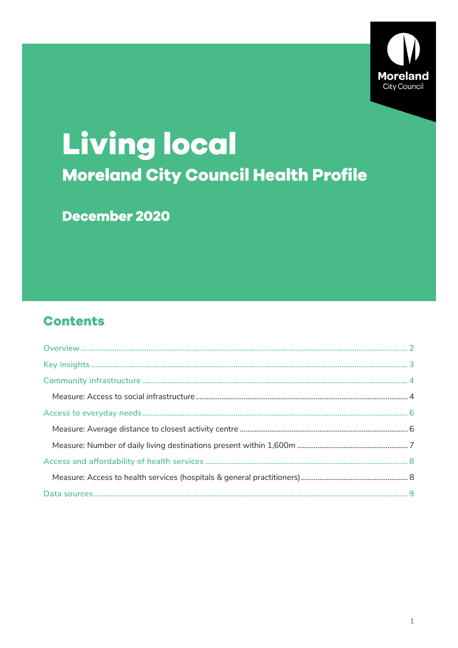

# **Living local Moreland City Council Health Profile**

December 2020

# **Contents**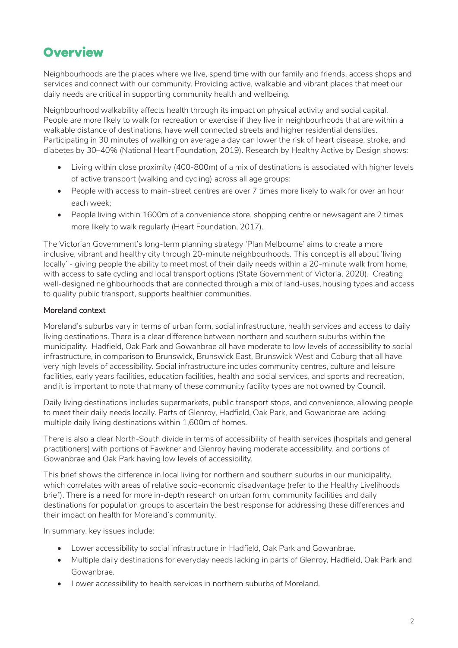# <span id="page-1-0"></span>**Overview**

Neighbourhoods are the places where we live, spend time with our family and friends, access shops and services and connect with our community. Providing active, walkable and vibrant places that meet our daily needs are critical in supporting community health and wellbeing.

Neighbourhood walkability affects health through its impact on physical activity and social capital. People are more likely to walk for recreation or exercise if they live in neighbourhoods that are within a walkable distance of destinations, have well connected streets and higher residential densities. Participating in 30 minutes of walking on average a day can lower the risk of heart disease, stroke, and diabetes by 30–40% (National Heart Foundation, 2019). Research by Healthy Active by Design shows:

- Living within close proximity (400-800m) of a mix of destinations is associated with higher levels of active transport (walking and cycling) across all age groups;
- People with access to main-street centres are over 7 times more likely to walk for over an hour each week;
- People living within 1600m of a convenience store, shopping centre or newsagent are 2 times more likely to walk regularly (Heart Foundation, 2017).

The Victorian Government's long-term planning strategy 'Plan Melbourne' aims to create a more inclusive, vibrant and healthy city through 20-minute neighbourhoods. This concept is all about 'living locally' - giving people the ability to meet most of their daily needs within a 20-minute walk from home, with access to safe cycling and local transport options (State Government of Victoria, 2020). Creating well-designed neighbourhoods that are connected through a mix of land-uses, housing types and access to quality public transport, supports healthier communities.

### Moreland context

Moreland's suburbs vary in terms of urban form, social infrastructure, health services and access to daily living destinations. There is a clear difference between northern and southern suburbs within the municipality. Hadfield, Oak Park and Gowanbrae all have moderate to low levels of accessibility to social infrastructure, in comparison to Brunswick, Brunswick East, Brunswick West and Coburg that all have very high levels of accessibility. Social infrastructure includes community centres, culture and leisure facilities, early years facilities, education facilities, health and social services, and sports and recreation, and it is important to note that many of these community facility types are not owned by Council.

Daily living destinations includes supermarkets, public transport stops, and convenience, allowing people to meet their daily needs locally. Parts of Glenroy, Hadfield, Oak Park, and Gowanbrae are lacking multiple daily living destinations within 1,600m of homes.

There is also a clear North-South divide in terms of accessibility of health services (hospitals and general practitioners) with portions of Fawkner and Glenroy having moderate accessibility, and portions of Gowanbrae and Oak Park having low levels of accessibility.

This brief shows the difference in local living for northern and southern suburbs in our municipality, which correlates with areas of relative socio-economic disadvantage (refer to the Healthy Livelihoods brief). There is a need for more in-depth research on urban form, community facilities and daily destinations for population groups to ascertain the best response for addressing these differences and their impact on health for Moreland's community.

In summary, key issues include:

- Lower accessibility to social infrastructure in Hadfield, Oak Park and Gowanbrae.
- Multiple daily destinations for everyday needs lacking in parts of Glenroy, Hadfield, Oak Park and Gowanbrae.
- Lower accessibility to health services in northern suburbs of Moreland.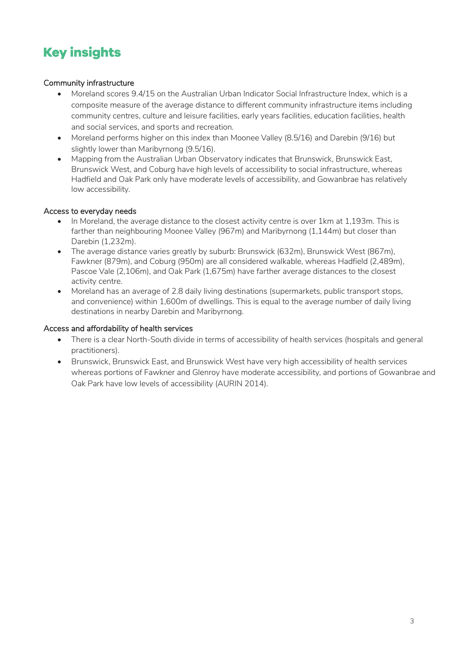# <span id="page-2-0"></span>**Key insights**

### Community infrastructure

- Moreland scores 9.4/15 on the Australian Urban Indicator Social Infrastructure Index, which is a composite measure of the average distance to different community infrastructure items including community centres, culture and leisure facilities, early years facilities, education facilities, health and social services, and sports and recreation.
- Moreland performs higher on this index than Moonee Valley (8.5/16) and Darebin (9/16) but slightly lower than Maribyrnong (9.5/16).
- Mapping from the Australian Urban Observatory indicates that Brunswick, Brunswick East, Brunswick West, and Coburg have high levels of accessibility to social infrastructure, whereas Hadfield and Oak Park only have moderate levels of accessibility, and Gowanbrae has relatively low accessibility.

### Access to everyday needs

- In Moreland, the average distance to the closest activity centre is over 1km at 1,193m. This is farther than neighbouring Moonee Valley (967m) and Maribyrnong (1,144m) but closer than Darebin (1,232m).
- The average distance varies greatly by suburb: Brunswick (632m), Brunswick West (867m), Fawkner (879m), and Coburg (950m) are all considered walkable, whereas Hadfield (2,489m), Pascoe Vale (2,106m), and Oak Park (1,675m) have farther average distances to the closest activity centre.
- Moreland has an average of 2.8 daily living destinations (supermarkets, public transport stops, and convenience) within 1,600m of dwellings. This is equal to the average number of daily living destinations in nearby Darebin and Maribyrnong.

### Access and affordability of health services

- There is a clear North-South divide in terms of accessibility of health services (hospitals and general practitioners).
- Brunswick, Brunswick East, and Brunswick West have very high accessibility of health services whereas portions of Fawkner and Glenroy have moderate accessibility, and portions of Gowanbrae and Oak Park have low levels of accessibility (AURIN 2014).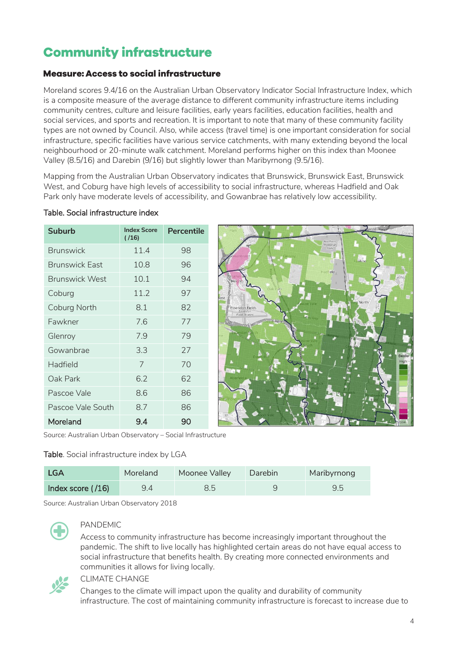# <span id="page-3-0"></span>**Community infrastructure**

### <span id="page-3-1"></span>**Measure: Access to social infrastructure**

Moreland scores 9.4/16 on the Australian Urban Observatory Indicator Social Infrastructure Index, which is a composite measure of the average distance to different community infrastructure items including community centres, culture and leisure facilities, early years facilities, education facilities, health and social services, and sports and recreation. It is important to note that many of these community facility types are not owned by Council. Also, while access (travel time) is one important consideration for social infrastructure, specific facilities have various service catchments, with many extending beyond the local neighbourhood or 20-minute walk catchment. Moreland performs higher on this index than Moonee Valley (8.5/16) and Darebin (9/16) but slightly lower than Maribyrnong (9.5/16).

Mapping from the Australian Urban Observatory indicates that Brunswick, Brunswick East, Brunswick West, and Coburg have high levels of accessibility to social infrastructure, whereas Hadfield and Oak Park only have moderate levels of accessibility, and Gowanbrae has relatively low accessibility.

| <b>Suburb</b>         | <b>Index Score</b><br>( / 16 ) | Percentile |
|-----------------------|--------------------------------|------------|
| <b>Brunswick</b>      | 11.4                           | 98         |
| <b>Brunswick East</b> | 10.8                           | 96         |
| <b>Brunswick West</b> | 10.1                           | 94         |
| Coburg                | 11.7                           | 97         |
| Coburg North          | 8.1                            | 82         |
| Fawkner               | 7.6                            | 77         |
| Glenroy               | 7.9                            | 79         |
| Gowanbrae             | 3.3                            | 27         |
| Hadfield              | 7                              | 70         |
| Oak Park              | 6.2                            | 62         |
| Pascoe Vale           | 8.6                            | 86         |
| Pascoe Vale South     | 8.7                            | 86         |
| Moreland              | 9.4                            | 90         |

### Table. Social infrastructure index



Source: Australian Urban Observatory – Social Infrastructure

### Table. Social infrastructure index by LGA

| <b>LGA</b>          | Moreland | Moonee Valley | Darebin | Maribyrnong |
|---------------------|----------|---------------|---------|-------------|
| Index score $(716)$ | 9.4      |               |         | 9.5         |

Source: Australian Urban Observatory 2018



### PANDEMIC

Access to community infrastructure has become increasingly important throughout the pandemic. The shift to live locally has highlighted certain areas do not have equal access to social infrastructure that benefits health. By creating more connected environments and communities it allows for living locally.



#### CLIMATE CHANGE

Changes to the climate will impact upon the quality and durability of community infrastructure. The cost of maintaining community infrastructure is forecast to increase due to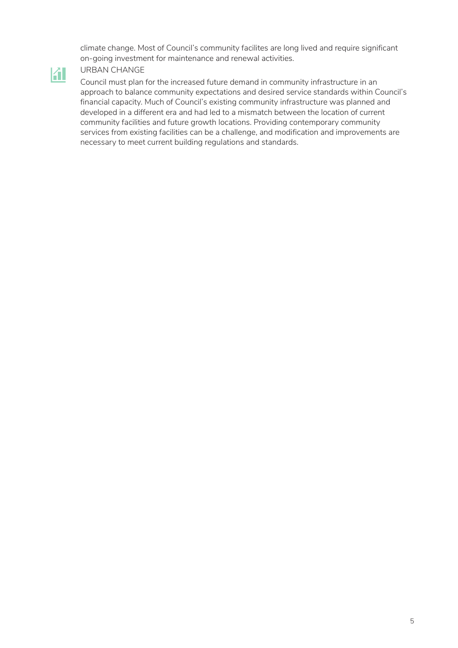climate change. Most of Council's community facilites are long lived and require significant on-going investment for maintenance and renewal activities.

### URBAN CHANGE

 $\mathbf{A}$ 

Council must plan for the increased future demand in community infrastructure in an approach to balance community expectations and desired service standards within Council's financial capacity. Much of Council's existing community infrastructure was planned and developed in a different era and had led to a mismatch between the location of current community facilities and future growth locations. Providing contemporary community services from existing facilities can be a challenge, and modification and improvements are necessary to meet current building regulations and standards.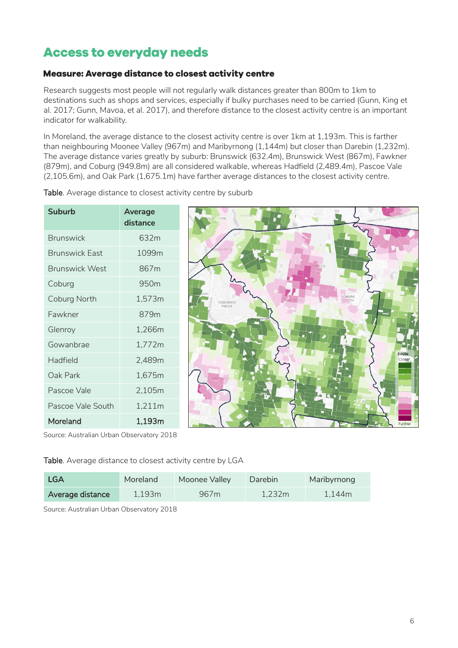# <span id="page-5-0"></span>**Access to everyday needs**

### <span id="page-5-1"></span>Measure: Average distance to closest activity centre

Research suggests most people will not regularly walk distances greater than 800m to 1km to destinations such as shops and services, especially if bulky purchases need to be carried (Gunn, King et al. 2017; Gunn, Mavoa, et al. 2017), and therefore distance to the closest activity centre is an important indicator for walkability.

In Moreland, the average distance to the closest activity centre is over 1km at 1,193m. This is farther than neighbouring Moonee Valley (967m) and Maribyrnong (1,144m) but closer than Darebin (1,232m). The average distance varies greatly by suburb: Brunswick (632.4m), Brunswick West (867m), Fawkner (879m), and Coburg (949.8m) are all considered walkable, whereas Hadfield (2,489.4m), Pascoe Vale (2,105.6m), and Oak Park (1,675.1m) have farther average distances to the closest activity centre.

| <b>Suburb</b>         | Average<br>distance |  |
|-----------------------|---------------------|--|
| <b>Brunswick</b>      | 632m                |  |
| <b>Brunswick East</b> | 1099m               |  |
| <b>Brunswick West</b> | 867m                |  |
| Coburg                | 950m                |  |
| Coburg North          | 1,573m              |  |
| Fawkner               | 879m                |  |
| Glenroy               | 1,266m              |  |
| Gowanbrae             | 1,772m              |  |
| Hadfield              | 2,489m              |  |
| Oak Park              | 1,675m              |  |
| Pascoe Vale           | 2,105m              |  |
| Pascoe Vale South     | 1,211m              |  |
| Moreland              | 1,193m              |  |

Table. Average distance to closest activity centre by suburb



Source: Australian Urban Observatory 2018

Table. Average distance to closest activity centre by LGA

| <b>LGA</b>       | Moreland | Moonee Valley    | Darebin | Maribyrnong |
|------------------|----------|------------------|---------|-------------|
| Average distance | 1,193m   | 967 <sub>m</sub> | 1,232m  | 1,144m      |

Source: Australian Urban Observatory 2018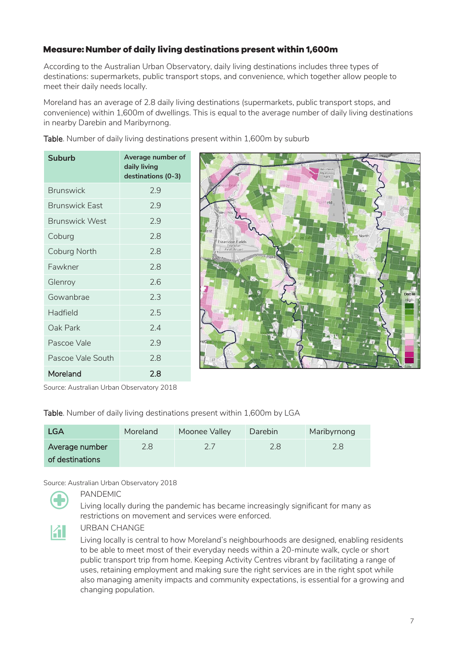## <span id="page-6-0"></span>Measure: Number of daily living destinations present within 1,600m

According to the Australian Urban Observatory, daily living destinations includes three types of destinations: supermarkets, public transport stops, and convenience, which together allow people to meet their daily needs locally.

Moreland has an average of 2.8 daily living destinations (supermarkets, public transport stops, and convenience) within 1,600m of dwellings. This is equal to the average number of daily living destinations in nearby Darebin and Maribyrnong.

**Suburb Average number of daily living destinations (0-3)** Brunswick 2.9 Brunswick East 2.9 Brunswick West 2.9 Coburg 2.8 Coburg North 2.8 Fawkner 2.8 Glenroy 2.6 Gowanbrae 2.3 Hadfield 2.5



Table. Number of daily living destinations present within 1,600m by suburb

Oak Park 2.4 Pascoe Vale 2.9

Pascoe Vale South 2.8

Moreland 2.8

Table. Number of daily living destinations present within 1,600m by LGA

| <b>LGA</b>      | Moreland | Moonee Valley | Darebin | Maribyrnong |
|-----------------|----------|---------------|---------|-------------|
| Average number  | 2.8      |               | 2.8     |             |
| of destinations |          |               |         |             |

Source: Australian Urban Observatory 2018

PANDEMIC

Living locally during the pandemic has became increasingly significant for many as restrictions on movement and services were enforced.



#### URBAN CHANGE

Living locally is central to how Moreland's neighbourhoods are designed, enabling residents to be able to meet most of their everyday needs within a 20-minute walk, cycle or short public transport trip from home. Keeping Activity Centres vibrant by facilitating a range of uses, retaining employment and making sure the right services are in the right spot while also managing amenity impacts and community expectations, is essential for a growing and changing population.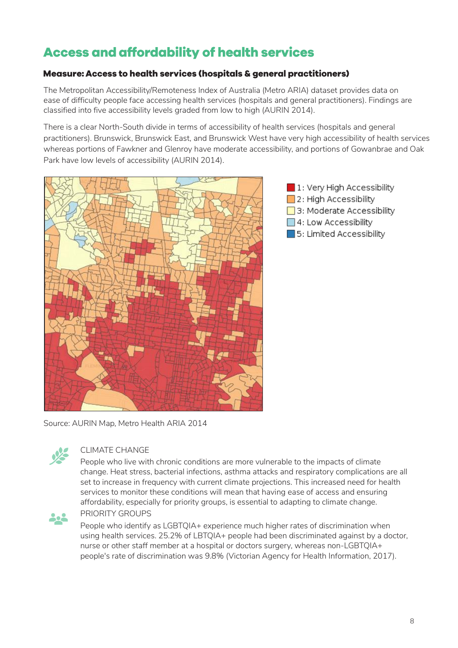# <span id="page-7-0"></span>**Access and affordability of health services**

### <span id="page-7-1"></span>Measure: Access to health services (hospitals & general practitioners)

The Metropolitan Accessibility/Remoteness Index of Australia (Metro ARIA) dataset provides data on ease of difficulty people face accessing health services (hospitals and general practitioners). Findings are classified into five accessibility levels graded from low to high (AURIN 2014).

There is a clear North-South divide in terms of accessibility of health services (hospitals and general practitioners). Brunswick, Brunswick East, and Brunswick West have very high accessibility of health services whereas portions of Fawkner and Glenroy have moderate accessibility, and portions of Gowanbrae and Oak Park have low levels of accessibility (AURIN 2014).





Source: AURIN Map, Metro Health ARIA 2014



### CLIMATE CHANGE

People who live with chronic conditions are more vulnerable to the impacts of climate change. Heat stress, bacterial infections, asthma attacks and respiratory complications are all set to increase in frequency with current climate projections. This increased need for health services to monitor these conditions will mean that having ease of access and ensuring affordability, especially for priority groups, is essential to adapting to climate change.



#### PRIORITY GROUPS

People who identify as LGBTQIA+ experience much higher rates of discrimination when using health services. 25.2% of LBTQIA+ people had been discriminated against by a doctor, nurse or other staff member at a hospital or doctors surgery, whereas non-LGBTQIA+ people's rate of discrimination was 9.8% (Victorian Agency for Health Information, 2017).